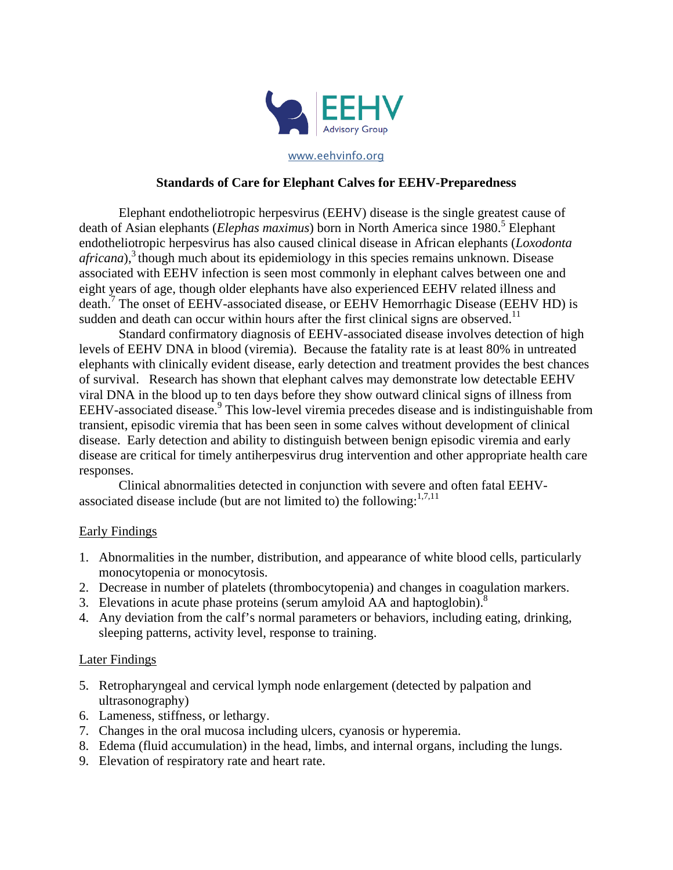

www.eehvinfo.org

## **Standards of Care for Elephant Calves for EEHV-Preparedness**

Elephant endotheliotropic herpesvirus (EEHV) disease is the single greatest cause of death of Asian elephants (*Elephas maximus*) born in North America since 1980. <sup>5</sup> Elephant endotheliotropic herpesvirus has also caused clinical disease in African elephants (*Loxodonta*   $african$ <sup>3</sup>, though much about its epidemiology in this species remains unknown. Disease associated with EEHV infection is seen most commonly in elephant calves between one and eight years of age, though older elephants have also experienced EEHV related illness and death.<sup>7</sup> The onset of EEHV-associated disease, or EEHV Hemorrhagic Disease (EEHV HD) is sudden and death can occur within hours after the first clinical signs are observed.<sup>11</sup>

Standard confirmatory diagnosis of EEHV-associated disease involves detection of high levels of EEHV DNA in blood (viremia). Because the fatality rate is at least 80% in untreated elephants with clinically evident disease, early detection and treatment provides the best chances of survival. Research has shown that elephant calves may demonstrate low detectable EEHV viral DNA in the blood up to ten days before they show outward clinical signs of illness from EEHV-associated disease.<sup>9</sup> This low-level viremia precedes disease and is indistinguishable from transient, episodic viremia that has been seen in some calves without development of clinical disease. Early detection and ability to distinguish between benign episodic viremia and early disease are critical for timely antiherpesvirus drug intervention and other appropriate health care responses.

Clinical abnormalities detected in conjunction with severe and often fatal EEHVassociated disease include (but are not limited to) the following: $1,7,11$ 

### Early Findings

- 1. Abnormalities in the number, distribution, and appearance of white blood cells, particularly monocytopenia or monocytosis.
- 2. Decrease in number of platelets (thrombocytopenia) and changes in coagulation markers.
- 3. Elevations in acute phase proteins (serum amyloid AA and haptoglobin).<sup>8</sup>
- 4. Any deviation from the calf's normal parameters or behaviors, including eating, drinking, sleeping patterns, activity level, response to training.

### Later Findings

- 5. Retropharyngeal and cervical lymph node enlargement (detected by palpation and ultrasonography)
- 6. Lameness, stiffness, or lethargy.
- 7. Changes in the oral mucosa including ulcers, cyanosis or hyperemia.
- 8. Edema (fluid accumulation) in the head, limbs, and internal organs, including the lungs.
- 9. Elevation of respiratory rate and heart rate.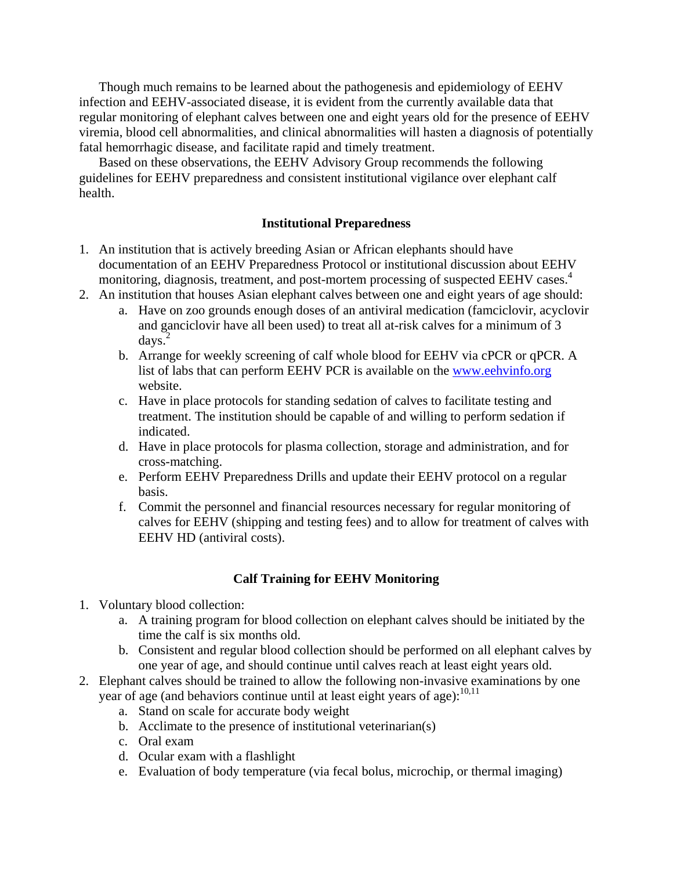Though much remains to be learned about the pathogenesis and epidemiology of EEHV infection and EEHV-associated disease, it is evident from the currently available data that regular monitoring of elephant calves between one and eight years old for the presence of EEHV viremia, blood cell abnormalities, and clinical abnormalities will hasten a diagnosis of potentially fatal hemorrhagic disease, and facilitate rapid and timely treatment.

Based on these observations, the EEHV Advisory Group recommends the following guidelines for EEHV preparedness and consistent institutional vigilance over elephant calf health.

### **Institutional Preparedness**

- 1. An institution that is actively breeding Asian or African elephants should have documentation of an EEHV Preparedness Protocol or institutional discussion about EEHV monitoring, diagnosis, treatment, and post-mortem processing of suspected EEHV cases.<sup>4</sup>
- 2. An institution that houses Asian elephant calves between one and eight years of age should:
	- a. Have on zoo grounds enough doses of an antiviral medication (famciclovir, acyclovir and ganciclovir have all been used) to treat all at-risk calves for a minimum of 3  $d$ ays.<sup>2</sup>
	- b. Arrange for weekly screening of calf whole blood for EEHV via cPCR or qPCR. A list of labs that can perform EEHV PCR is available on the [www.eehvinfo.org](http://www.eehvinfo.org/) website.
	- c. Have in place protocols for standing sedation of calves to facilitate testing and treatment. The institution should be capable of and willing to perform sedation if indicated.
	- d. Have in place protocols for plasma collection, storage and administration, and for cross-matching.
	- e. Perform EEHV Preparedness Drills and update their EEHV protocol on a regular basis.
	- f. Commit the personnel and financial resources necessary for regular monitoring of calves for EEHV (shipping and testing fees) and to allow for treatment of calves with EEHV HD (antiviral costs).

### **Calf Training for EEHV Monitoring**

- 1. Voluntary blood collection:
	- a. A training program for blood collection on elephant calves should be initiated by the time the calf is six months old.
	- b. Consistent and regular blood collection should be performed on all elephant calves by one year of age, and should continue until calves reach at least eight years old.
- 2. Elephant calves should be trained to allow the following non-invasive examinations by one year of age (and behaviors continue until at least eight years of age):<sup>10,11</sup>
	- a. Stand on scale for accurate body weight
	- b. Acclimate to the presence of institutional veterinarian(s)
	- c. Oral exam
	- d. Ocular exam with a flashlight
	- e. Evaluation of body temperature (via fecal bolus, microchip, or thermal imaging)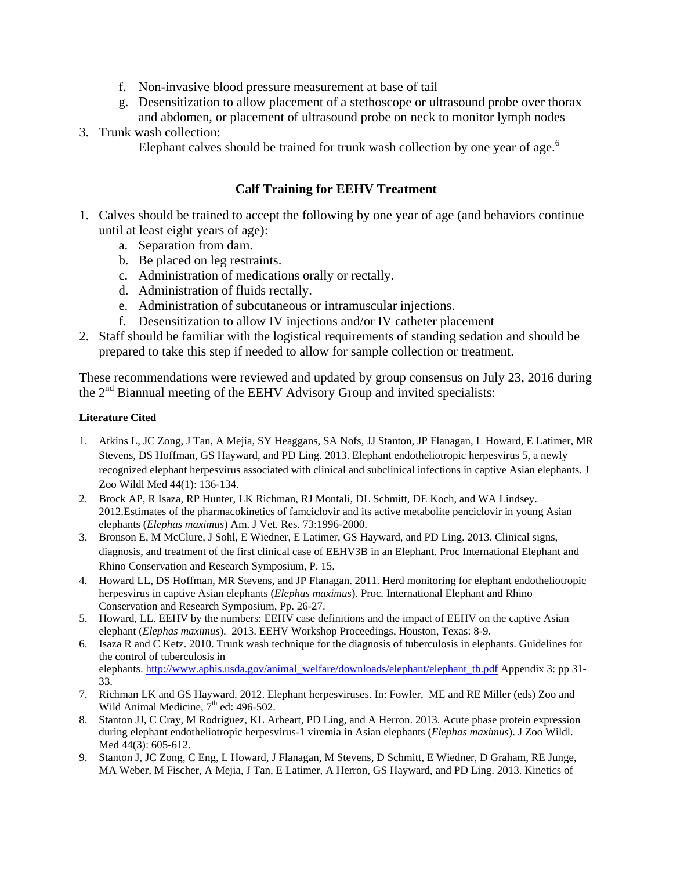- f. Non-invasive blood pressure measurement at base of tail
- g. Desensitization to allow placement of a stethoscope or ultrasound probe over thorax
- and abdomen, or placement of ultrasound probe on neck to monitor lymph nodes 3. Trunk wash collection:
	- Elephant calves should be trained for trunk wash collection by one year of age.<sup>6</sup>

# **Calf Training for EEHV Treatment**

- 1. Calves should be trained to accept the following by one year of age (and behaviors continue until at least eight years of age):
	- a. Separation from dam.
	- b. Be placed on leg restraints.
	- c. Administration of medications orally or rectally.
	- d. Administration of fluids rectally.
	- e. Administration of subcutaneous or intramuscular injections.
	- f. Desensitization to allow IV injections and/or IV catheter placement
- 2. Staff should be familiar with the logistical requirements of standing sedation and should be prepared to take this step if needed to allow for sample collection or treatment.

These recommendations were reviewed and updated by group consensus on July 23, 2016 during the  $2<sup>nd</sup>$  Biannual meeting of the EEHV Advisory Group and invited specialists:

#### **Literature Cited**

- 1. Atkins L, JC Zong, J Tan, A Mejia, SY Heaggans, SA Nofs, JJ Stanton, JP Flanagan, L Howard, E Latimer, MR Stevens, DS Hoffman, GS Hayward, and PD Ling. 2013. Elephant endotheliotropic herpesvirus 5, a newly recognized elephant herpesvirus associated with clinical and subclinical infections in captive Asian elephants. J Zoo Wildl Med 44(1): 136-134.
- 2. Brock AP, R Isaza, RP Hunter, LK Richman, RJ Montali, DL Schmitt, DE Koch, and WA Lindsey. 2012.Estimates of the pharmacokinetics of famciclovir and its active metabolite penciclovir in young Asian elephants (*Elephas maximus*) Am. J Vet. Res. 73:1996-2000.
- 3. Bronson E, M McClure, J Sohl, E Wiedner, E Latimer, GS Hayward, and PD Ling. 2013. Clinical signs, diagnosis, and treatment of the first clinical case of EEHV3B in an Elephant. Proc International Elephant and Rhino Conservation and Research Symposium, P. 15.
- 4. Howard LL, DS Hoffman, MR Stevens, and JP Flanagan. 2011. Herd monitoring for elephant endotheliotropic herpesvirus in captive Asian elephants (*Elephas maximus*). Proc. International Elephant and Rhino Conservation and Research Symposium, Pp. 26-27.
- 5. Howard, LL. EEHV by the numbers: EEHV case definitions and the impact of EEHV on the captive Asian elephant (*Elephas maximus*). 2013. EEHV Workshop Proceedings, Houston, Texas: 8-9.
- 6. Isaza R and C Ketz. 2010. Trunk wash technique for the diagnosis of tuberculosis in elephants. Guidelines for the control of tuberculosis in elephants. [http://www.aphis.usda.gov/animal\\_welfare/downloads/elephant/elephant\\_tb.pdf](http://www.aphis.usda.gov/animal_welfare/downloads/elephant/elephant_tb.pdf) Appendix 3: pp 31- 33.
- 7. Richman LK and GS Hayward. 2012. Elephant herpesviruses. In: Fowler, ME and RE Miller (eds) Zoo and Wild Animal Medicine,  $7<sup>th</sup>$  ed: 496-502.
- 8. Stanton JJ, C Cray, M Rodriguez, KL Arheart, PD Ling, and A Herron. 2013. Acute phase protein expression during elephant endotheliotropic herpesvirus-1 viremia in Asian elephants (*Elephas maximus*). J Zoo Wildl. Med 44(3): 605-612.
- 9. Stanton J, JC Zong, C Eng, L Howard, J Flanagan, M Stevens, D Schmitt, E Wiedner, D Graham, RE Junge, MA Weber, M Fischer, A Mejia, J Tan, E Latimer, A Herron, GS Hayward, and PD Ling. 2013. Kinetics of